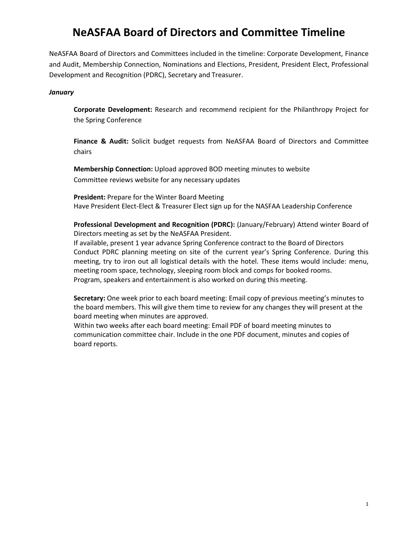NeASFAA Board of Directors and Committees included in the timeline: Corporate Development, Finance and Audit, Membership Connection, Nominations and Elections, President, President Elect, Professional Development and Recognition (PDRC), Secretary and Treasurer.

#### *January*

**Corporate Development:** Research and recommend recipient for the Philanthropy Project for the Spring Conference

**Finance & Audit:** Solicit budget requests from NeASFAA Board of Directors and Committee chairs

**Membership Connection:** Upload approved BOD meeting minutes to website Committee reviews website for any necessary updates

**President:** Prepare for the Winter Board Meeting Have President Elect-Elect & Treasurer Elect sign up for the NASFAA Leadership Conference

**Professional Development and Recognition (PDRC):** (January/February) Attend winter Board of Directors meeting as set by the NeASFAA President.

If available, present 1 year advance Spring Conference contract to the Board of Directors Conduct PDRC planning meeting on site of the current year's Spring Conference. During this meeting, try to iron out all logistical details with the hotel. These items would include: menu, meeting room space, technology, sleeping room block and comps for booked rooms. Program, speakers and entertainment is also worked on during this meeting.

**Secretary:** One week prior to each board meeting: Email copy of previous meeting's minutes to the board members. This will give them time to review for any changes they will present at the board meeting when minutes are approved.

Within two weeks after each board meeting: Email PDF of board meeting minutes to communication committee chair. Include in the one PDF document, minutes and copies of board reports.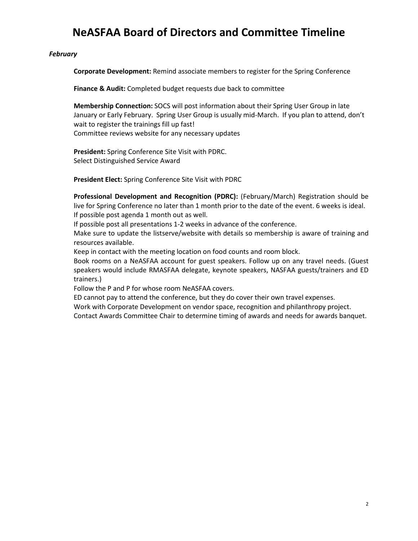### *February*

**Corporate Development:** Remind associate members to register for the Spring Conference

**Finance & Audit:** Completed budget requests due back to committee

**Membership Connection:** SOCS will post information about their Spring User Group in late January or Early February. Spring User Group is usually mid-March. If you plan to attend, don't wait to register the trainings fill up fast! Committee reviews website for any necessary updates

**President:** Spring Conference Site Visit with PDRC. Select Distinguished Service Award

**President Elect:** Spring Conference Site Visit with PDRC

**Professional Development and Recognition (PDRC):** (February/March) Registration should be live for Spring Conference no later than 1 month prior to the date of the event. 6 weeks is ideal. If possible post agenda 1 month out as well.

If possible post all presentations 1-2 weeks in advance of the conference.

Make sure to update the listserve/website with details so membership is aware of training and resources available.

Keep in contact with the meeting location on food counts and room block.

Book rooms on a NeASFAA account for guest speakers. Follow up on any travel needs. (Guest speakers would include RMASFAA delegate, keynote speakers, NASFAA guests/trainers and ED trainers.)

Follow the P and P for whose room NeASFAA covers.

ED cannot pay to attend the conference, but they do cover their own travel expenses.

Work with Corporate Development on vendor space, recognition and philanthropy project.

Contact Awards Committee Chair to determine timing of awards and needs for awards banquet.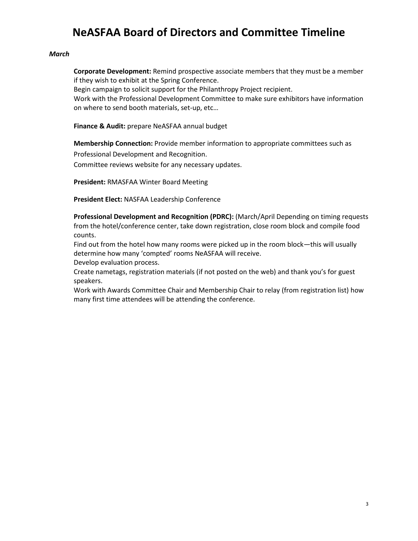#### *March*

**Corporate Development:** Remind prospective associate members that they must be a member if they wish to exhibit at the Spring Conference.

Begin campaign to solicit support for the Philanthropy Project recipient. Work with the Professional Development Committee to make sure exhibitors have information

on where to send booth materials, set-up, etc…

**Finance & Audit:** prepare NeASFAA annual budget

**Membership Connection:** Provide member information to appropriate committees such as Professional Development and Recognition.

Committee reviews website for any necessary updates.

**President:** RMASFAA Winter Board Meeting

**President Elect:** NASFAA Leadership Conference

**Professional Development and Recognition (PDRC):** (March/April Depending on timing requests from the hotel/conference center, take down registration, close room block and compile food counts.

Find out from the hotel how many rooms were picked up in the room block—this will usually determine how many 'compted' rooms NeASFAA will receive.

Develop evaluation process.

Create nametags, registration materials (if not posted on the web) and thank you's for guest speakers.

Work with Awards Committee Chair and Membership Chair to relay (from registration list) how many first time attendees will be attending the conference.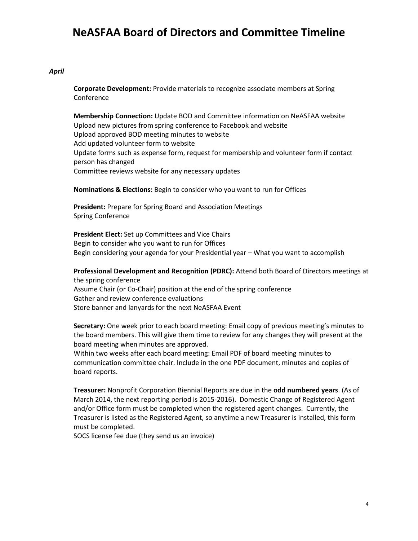### *April*

**Corporate Development:** Provide materials to recognize associate members at Spring Conference

**Membership Connection:** Update BOD and Committee information on NeASFAA website Upload new pictures from spring conference to Facebook and website Upload approved BOD meeting minutes to website Add updated volunteer form to website Update forms such as expense form, request for membership and volunteer form if contact person has changed Committee reviews website for any necessary updates

**Nominations & Elections:** Begin to consider who you want to run for Offices

**President:** Prepare for Spring Board and Association Meetings Spring Conference

**President Elect:** Set up Committees and Vice Chairs Begin to consider who you want to run for Offices Begin considering your agenda for your Presidential year – What you want to accomplish

**Professional Development and Recognition (PDRC):** Attend both Board of Directors meetings at the spring conference

Assume Chair (or Co-Chair) position at the end of the spring conference Gather and review conference evaluations Store banner and lanyards for the next NeASFAA Event

**Secretary:** One week prior to each board meeting: Email copy of previous meeting's minutes to the board members. This will give them time to review for any changes they will present at the board meeting when minutes are approved.

Within two weeks after each board meeting: Email PDF of board meeting minutes to communication committee chair. Include in the one PDF document, minutes and copies of board reports.

**Treasurer:** Nonprofit Corporation Biennial Reports are due in the **odd numbered years**. (As of March 2014, the next reporting period is 2015-2016). Domestic Change of Registered Agent and/or Office form must be completed when the registered agent changes. Currently, the Treasurer is listed as the Registered Agent, so anytime a new Treasurer is installed, this form must be completed.

SOCS license fee due (they send us an invoice)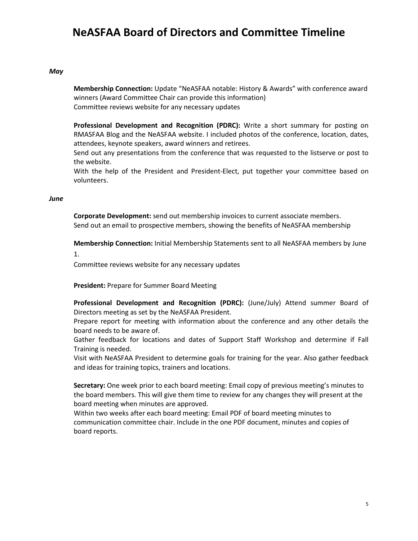### *May*

**Membership Connection:** Update "NeASFAA notable: History & Awards" with conference award winners (Award Committee Chair can provide this information) Committee reviews website for any necessary updates

**Professional Development and Recognition (PDRC):** Write a short summary for posting on RMASFAA Blog and the NeASFAA website. I included photos of the conference, location, dates, attendees, keynote speakers, award winners and retirees.

Send out any presentations from the conference that was requested to the listserve or post to the website.

With the help of the President and President-Elect, put together your committee based on volunteers.

### *June*

**Corporate Development:** send out membership invoices to current associate members. Send out an email to prospective members, showing the benefits of NeASFAA membership

**Membership Connection:** Initial Membership Statements sent to all NeASFAA members by June 1.

Committee reviews website for any necessary updates

**President:** Prepare for Summer Board Meeting

**Professional Development and Recognition (PDRC):** (June/July) Attend summer Board of Directors meeting as set by the NeASFAA President.

Prepare report for meeting with information about the conference and any other details the board needs to be aware of.

Gather feedback for locations and dates of Support Staff Workshop and determine if Fall Training is needed.

Visit with NeASFAA President to determine goals for training for the year. Also gather feedback and ideas for training topics, trainers and locations.

**Secretary:** One week prior to each board meeting: Email copy of previous meeting's minutes to the board members. This will give them time to review for any changes they will present at the board meeting when minutes are approved.

Within two weeks after each board meeting: Email PDF of board meeting minutes to communication committee chair. Include in the one PDF document, minutes and copies of board reports.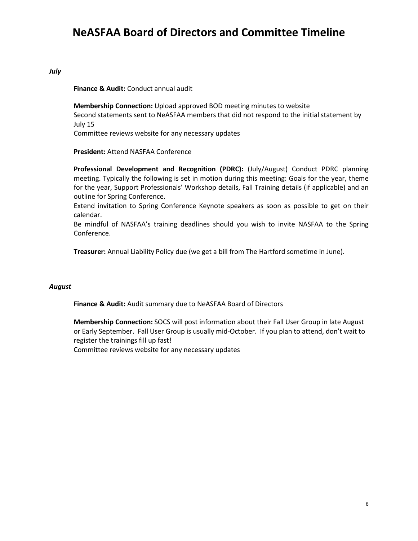### *July*

**Finance & Audit:** Conduct annual audit

**Membership Connection:** Upload approved BOD meeting minutes to website Second statements sent to NeASFAA members that did not respond to the initial statement by July 15

Committee reviews website for any necessary updates

**President:** Attend NASFAA Conference

**Professional Development and Recognition (PDRC):** (July/August) Conduct PDRC planning meeting. Typically the following is set in motion during this meeting: Goals for the year, theme for the year, Support Professionals' Workshop details, Fall Training details (if applicable) and an outline for Spring Conference.

Extend invitation to Spring Conference Keynote speakers as soon as possible to get on their calendar.

Be mindful of NASFAA's training deadlines should you wish to invite NASFAA to the Spring Conference.

**Treasurer:** Annual Liability Policy due (we get a bill from The Hartford sometime in June).

### *August*

**Finance & Audit:** Audit summary due to NeASFAA Board of Directors

**Membership Connection:** SOCS will post information about their Fall User Group in late August or Early September. Fall User Group is usually mid-October. If you plan to attend, don't wait to register the trainings fill up fast!

Committee reviews website for any necessary updates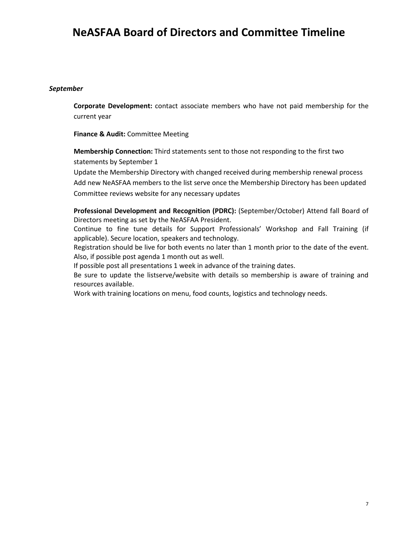#### *September*

**Corporate Development:** contact associate members who have not paid membership for the current year

**Finance & Audit:** Committee Meeting

**Membership Connection:** Third statements sent to those not responding to the first two statements by September 1

Update the Membership Directory with changed received during membership renewal process Add new NeASFAA members to the list serve once the Membership Directory has been updated Committee reviews website for any necessary updates

**Professional Development and Recognition (PDRC):** (September/October) Attend fall Board of Directors meeting as set by the NeASFAA President.

Continue to fine tune details for Support Professionals' Workshop and Fall Training (if applicable). Secure location, speakers and technology.

Registration should be live for both events no later than 1 month prior to the date of the event. Also, if possible post agenda 1 month out as well.

If possible post all presentations 1 week in advance of the training dates.

Be sure to update the listserve/website with details so membership is aware of training and resources available.

Work with training locations on menu, food counts, logistics and technology needs.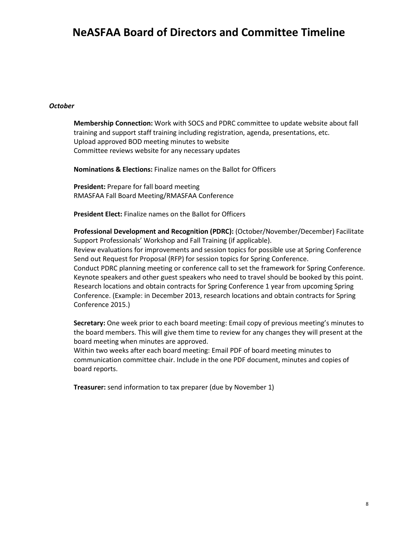### *October*

**Membership Connection:** Work with SOCS and PDRC committee to update website about fall training and support staff training including registration, agenda, presentations, etc. Upload approved BOD meeting minutes to website Committee reviews website for any necessary updates

**Nominations & Elections:** Finalize names on the Ballot for Officers

**President:** Prepare for fall board meeting RMASFAA Fall Board Meeting/RMASFAA Conference

**President Elect:** Finalize names on the Ballot for Officers

**Professional Development and Recognition (PDRC):** (October/November/December) Facilitate Support Professionals' Workshop and Fall Training (if applicable). Review evaluations for improvements and session topics for possible use at Spring Conference Send out Request for Proposal (RFP) for session topics for Spring Conference. Conduct PDRC planning meeting or conference call to set the framework for Spring Conference. Keynote speakers and other guest speakers who need to travel should be booked by this point. Research locations and obtain contracts for Spring Conference 1 year from upcoming Spring Conference. (Example: in December 2013, research locations and obtain contracts for Spring Conference 2015.)

**Secretary:** One week prior to each board meeting: Email copy of previous meeting's minutes to the board members. This will give them time to review for any changes they will present at the board meeting when minutes are approved.

Within two weeks after each board meeting: Email PDF of board meeting minutes to communication committee chair. Include in the one PDF document, minutes and copies of board reports.

**Treasurer:** send information to tax preparer (due by November 1)